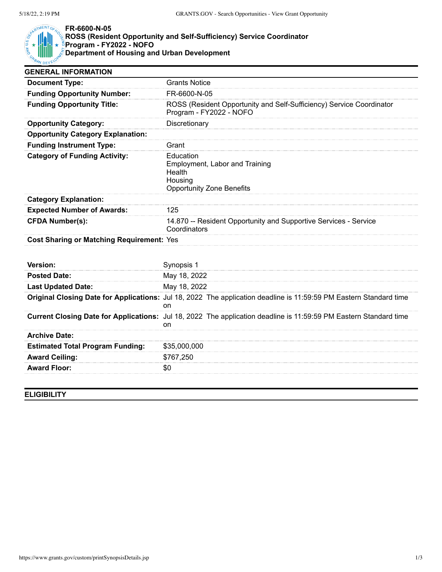

## **FR-6600-N-05**

## **ROSS (Resident Opportunity and Self-Sufficiency) Service Coordinator Program - FY2022 - NOFO Department of Housing and Urban Development**

| <b>GENERAL INFORMATION</b>                       |                                                                                                                          |
|--------------------------------------------------|--------------------------------------------------------------------------------------------------------------------------|
| <b>Document Type:</b>                            | <b>Grants Notice</b>                                                                                                     |
| <b>Funding Opportunity Number:</b>               | FR-6600-N-05                                                                                                             |
| <b>Funding Opportunity Title:</b>                | ROSS (Resident Opportunity and Self-Sufficiency) Service Coordinator<br>Program - FY2022 - NOFO                          |
| <b>Opportunity Category:</b>                     | Discretionary                                                                                                            |
| <b>Opportunity Category Explanation:</b>         |                                                                                                                          |
| <b>Funding Instrument Type:</b>                  | Grant                                                                                                                    |
| <b>Category of Funding Activity:</b>             | Education<br>Employment, Labor and Training<br>Health<br>Housing<br><b>Opportunity Zone Benefits</b>                     |
| <b>Category Explanation:</b>                     |                                                                                                                          |
| <b>Expected Number of Awards:</b>                | 125                                                                                                                      |
| <b>CFDA Number(s):</b>                           | 14.870 -- Resident Opportunity and Supportive Services - Service<br>Coordinators                                         |
| <b>Cost Sharing or Matching Requirement: Yes</b> |                                                                                                                          |
| Version:                                         | Synopsis 1                                                                                                               |
| <b>Posted Date:</b>                              | May 18, 2022                                                                                                             |
| <b>Last Updated Date:</b>                        | May 18, 2022                                                                                                             |
|                                                  | Original Closing Date for Applications: Jul 18, 2022 The application deadline is 11:59:59 PM Eastern Standard time<br>on |
|                                                  | Current Closing Date for Applications: Jul 18, 2022 The application deadline is 11:59:59 PM Eastern Standard time<br>on  |
| <b>Archive Date:</b>                             |                                                                                                                          |
| <b>Estimated Total Program Funding:</b>          | \$35,000,000                                                                                                             |
| <b>Award Ceiling:</b>                            | \$767,250                                                                                                                |
| <b>Award Floor:</b>                              | \$0                                                                                                                      |

## **ELIGIBILITY**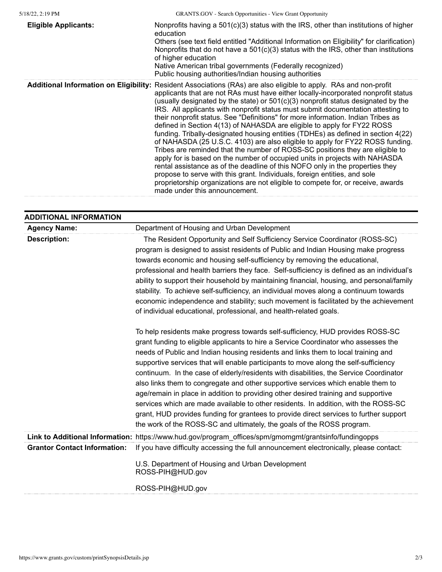| <b>Eligible Applicants:</b> | Nonprofits having a $501(c)(3)$ status with the IRS, other than institutions of higher<br>education<br>Others (see text field entitled "Additional Information on Eligibility" for clarification)<br>Nonprofits that do not have a $501(c)(3)$ status with the IRS, other than institutions<br>of higher education<br>Native American tribal governments (Federally recognized)<br>Public housing authorities/Indian housing authorities                                                                                                                                                                                                                                                                                                                                                                                                                                                                                                                                                                                                                                                                                                                                   |
|-----------------------------|----------------------------------------------------------------------------------------------------------------------------------------------------------------------------------------------------------------------------------------------------------------------------------------------------------------------------------------------------------------------------------------------------------------------------------------------------------------------------------------------------------------------------------------------------------------------------------------------------------------------------------------------------------------------------------------------------------------------------------------------------------------------------------------------------------------------------------------------------------------------------------------------------------------------------------------------------------------------------------------------------------------------------------------------------------------------------------------------------------------------------------------------------------------------------|
|                             | Additional Information on Eligibility: Resident Associations (RAs) are also eligible to apply. RAs and non-profit<br>applicants that are not RAs must have either locally-incorporated nonprofit status<br>(usually designated by the state) or $501(c)(3)$ nonprofit status designated by the<br>IRS. All applicants with nonprofit status must submit documentation attesting to<br>their nonprofit status. See "Definitions" for more information. Indian Tribes as<br>defined in Section 4(13) of NAHASDA are eligible to apply for FY22 ROSS<br>funding. Tribally-designated housing entities (TDHEs) as defined in section 4(22)<br>of NAHASDA (25 U.S.C. 4103) are also eligible to apply for FY22 ROSS funding.<br>Tribes are reminded that the number of ROSS-SC positions they are eligible to<br>apply for is based on the number of occupied units in projects with NAHASDA<br>rental assistance as of the deadline of this NOFO only in the properties they<br>propose to serve with this grant. Individuals, foreign entities, and sole<br>proprietorship organizations are not eligible to compete for, or receive, awards<br>made under this announcement. |

| <b>ADDITIONAL INFORMATION</b>       |                                                                                                                                                                                                                                                                                                                                                                                                                                                                                                                                                                                                                                                                                                                                                                                                                                                                                   |
|-------------------------------------|-----------------------------------------------------------------------------------------------------------------------------------------------------------------------------------------------------------------------------------------------------------------------------------------------------------------------------------------------------------------------------------------------------------------------------------------------------------------------------------------------------------------------------------------------------------------------------------------------------------------------------------------------------------------------------------------------------------------------------------------------------------------------------------------------------------------------------------------------------------------------------------|
| <b>Agency Name:</b>                 | Department of Housing and Urban Development                                                                                                                                                                                                                                                                                                                                                                                                                                                                                                                                                                                                                                                                                                                                                                                                                                       |
| <b>Description:</b>                 | The Resident Opportunity and Self Sufficiency Service Coordinator (ROSS-SC)<br>program is designed to assist residents of Public and Indian Housing make progress<br>towards economic and housing self-sufficiency by removing the educational,<br>professional and health barriers they face. Self-sufficiency is defined as an individual's<br>ability to support their household by maintaining financial, housing, and personal/family<br>stability. To achieve self-sufficiency, an individual moves along a continuum towards<br>economic independence and stability; such movement is facilitated by the achievement<br>of individual educational, professional, and health-related goals.                                                                                                                                                                                 |
|                                     | To help residents make progress towards self-sufficiency, HUD provides ROSS-SC<br>grant funding to eligible applicants to hire a Service Coordinator who assesses the<br>needs of Public and Indian housing residents and links them to local training and<br>supportive services that will enable participants to move along the self-sufficiency<br>continuum. In the case of elderly/residents with disabilities, the Service Coordinator<br>also links them to congregate and other supportive services which enable them to<br>age/remain in place in addition to providing other desired training and supportive<br>services which are made available to other residents. In addition, with the ROSS-SC<br>grant, HUD provides funding for grantees to provide direct services to further support<br>the work of the ROSS-SC and ultimately, the goals of the ROSS program. |
|                                     | Link to Additional Information: https://www.hud.gov/program_offices/spm/gmomgmt/grantsinfo/fundingopps                                                                                                                                                                                                                                                                                                                                                                                                                                                                                                                                                                                                                                                                                                                                                                            |
| <b>Grantor Contact Information:</b> | If you have difficulty accessing the full announcement electronically, please contact:<br>U.S. Department of Housing and Urban Development<br>ROSS-PIH@HUD.gov<br>ROSS-PIH@HUD.gov                                                                                                                                                                                                                                                                                                                                                                                                                                                                                                                                                                                                                                                                                                |